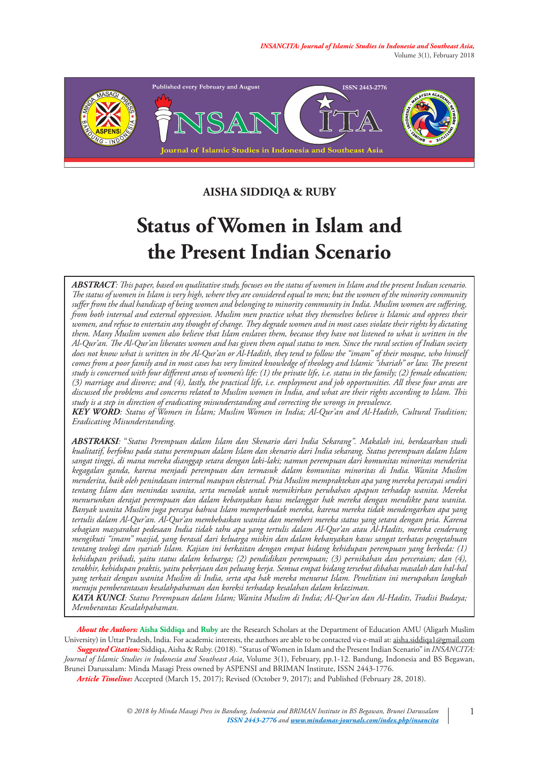*INSANCITA: Journal of Islamic Studies in Indonesia and Southeast Asia,* Volume 3(1), February 2018



### **AISHA SIDDIQA & RUBY**

# **Status of Women in Islam and the Present Indian Scenario**

*ABSTRACT: This paper, based on qualitative study, focuses on the status of women in Islam and the present Indian scenario. The status of women in Islam is very high, where they are considered equal to men; but the women of the minority community suffer from the dual handicap of being women and belonging to minority community in India. Muslim women are suffering, from both internal and external oppression. Muslim men practice what they themselves believe is Islamic and oppress their women, and refuse to entertain any thought of change. They degrade women and in most cases violate their rights by dictating them. Many Muslim women also believe that Islam enslaves them, because they have not listened to what is written in the Al-Qur'an. The Al-Qur'an liberates women and has given them equal status to men. Since the rural section of Indian society does not know what is written in the Al-Qur'an or Al-Hadith, they tend to follow the "imam" of their mosque, who himself comes from a poor family and in most cases has very limited knowledge of theology and Islamic "shariah" or law. The present study is concerned with four different areas of women's life: (1) the private life, i.e. status in the family; (2) female education; (3) marriage and divorce; and (4), lastly, the practical life, i.e. employment and job opportunities. All these four areas are discussed the problems and concerns related to Muslim women in India, and what are their rights according to Islam. This study is a step in direction of eradicating misunderstanding and correcting the wrongs in prevalence. KEY WORD: Status of Women in Islam; Muslim Women in India; Al-Qur'an and Al-Hadith, Cultural Tradition;* 

*Eradicating Misunderstanding.* 

*ABSTRAKSI:* "*Status Perempuan dalam Islam dan Skenario dari India Sekarang". Makalah ini, berdasarkan studi kualitatif, berfokus pada status perempuan dalam Islam dan skenario dari India sekarang. Status perempuan dalam Islam sangat tinggi, di mana mereka dianggap setara dengan laki-laki; namun perempuan dari komunitas minoritas menderita kegagalan ganda, karena menjadi perempuan dan termasuk dalam komunitas minoritas di India. Wanita Muslim menderita, baik oleh penindasan internal maupun eksternal. Pria Muslim mempraktekan apa yang mereka percayai sendiri tentang Islam dan menindas wanita, serta menolak untuk memikirkan perubahan apapun terhadap wanita. Mereka menurunkan derajat perempuan dan dalam kebanyakan kasus melanggar hak mereka dengan mendikte para wanita. Banyak wanita Muslim juga percaya bahwa Islam memperbudak mereka, karena mereka tidak mendengarkan apa yang tertulis dalam Al-Qur'an. Al-Qur'an membebaskan wanita dan memberi mereka status yang setara dengan pria. Karena sebagian masyarakat pedesaan India tidak tahu apa yang tertulis dalam Al-Qur'an atau Al-Hadits, mereka cenderung mengikuti "imam" masjid, yang berasal dari keluarga miskin dan dalam kebanyakan kasus sangat terbatas pengetahuan tentang teologi dan syariah Islam. Kajian ini berkaitan dengan empat bidang kehidupan perempuan yang berbeda: (1) kehidupan pribadi, yaitu status dalam keluarga; (2) pendidikan perempuan; (3) pernikahan dan perceraian; dan (4), terakhir, kehidupan praktis, yaitu pekerjaan dan peluang kerja. Semua empat bidang tersebut dibahas masalah dan hal-hal yang terkait dengan wanita Muslim di India, serta apa hak mereka menurut Islam. Penelitian ini merupakan langkah menuju pemberantasan kesalahpahaman dan koreksi terhadap kesalahan dalam kelaziman.* 

*KATA KUNCI: Status Perempuan dalam Islam; Wanita Muslim di India; Al-Qur'an dan Al-Hadits, Tradisi Budaya; Memberantas Kesalahpahaman.*

*About the Authors:* **Aisha Siddiqa** and **Ruby** are the Research Scholars at the Department of Education AMU (Aligarh Muslim University) in Uttar Pradesh, India. For academic interests, the authors are able to be contacted via e-mail at: aisha.siddiqa1@gmail.com *Suggested Citation:* Siddiqa, Aisha & Ruby. (2018). "Status of Women in Islam and the Present Indian Scenario" in *INSANCITA: Journal of Islamic Studies in Indonesia and Southeast Asia*, Volume 3(1), February, pp.1-12. Bandung, Indonesia and BS Begawan, Brunei Darussalam: Minda Masagi Press owned by ASPENSI and BRIMAN Institute, ISSN 2443-1776.

*Article Timeline:* Accepted (March 15, 2017); Revised (October 9, 2017); and Published (February 28, 2018).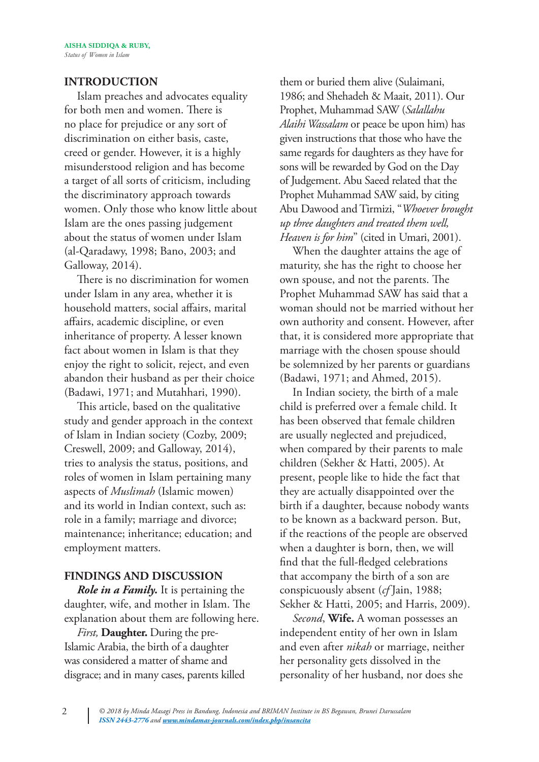## **INTRODUCTION**

Islam preaches and advocates equality for both men and women. There is no place for prejudice or any sort of discrimination on either basis, caste, creed or gender. However, it is a highly misunderstood religion and has become a target of all sorts of criticism, including the discriminatory approach towards women. Only those who know little about Islam are the ones passing judgement about the status of women under Islam (al-Qaradawy, 1998; Bano, 2003; and Galloway, 2014).

There is no discrimination for women under Islam in any area, whether it is household matters, social affairs, marital affairs, academic discipline, or even inheritance of property. A lesser known fact about women in Islam is that they enjoy the right to solicit, reject, and even abandon their husband as per their choice (Badawi, 1971; and Mutahhari, 1990).

This article, based on the qualitative study and gender approach in the context of Islam in Indian society (Cozby, 2009; Creswell, 2009; and Galloway, 2014), tries to analysis the status, positions, and roles of women in Islam pertaining many aspects of *Muslimah* (Islamic mowen) and its world in Indian context, such as: role in a family; marriage and divorce; maintenance; inheritance; education; and employment matters.

#### **FINDINGS AND DISCUSSION**

*Role in a Family.* It is pertaining the daughter, wife, and mother in Islam. The explanation about them are following here.

*First,* **Daughter.** During the pre-Islamic Arabia, the birth of a daughter was considered a matter of shame and disgrace; and in many cases, parents killed

them or buried them alive (Sulaimani, 1986; and Shehadeh & Maait, 2011). Our Prophet, Muhammad SAW (*Salallahu Alaihi Wassalam* or peace be upon him) has given instructions that those who have the same regards for daughters as they have for sons will be rewarded by God on the Day of Judgement. Abu Saeed related that the Prophet Muhammad SAW said, by citing Abu Dawood and Tirmizi, "*Whoever brought up three daughters and treated them well, Heaven is for him*" (cited in Umari, 2001).

When the daughter attains the age of maturity, she has the right to choose her own spouse, and not the parents. The Prophet Muhammad SAW has said that a woman should not be married without her own authority and consent. However, after that, it is considered more appropriate that marriage with the chosen spouse should be solemnized by her parents or guardians (Badawi, 1971; and Ahmed, 2015).

In Indian society, the birth of a male child is preferred over a female child. It has been observed that female children are usually neglected and prejudiced, when compared by their parents to male children (Sekher & Hatti, 2005). At present, people like to hide the fact that they are actually disappointed over the birth if a daughter, because nobody wants to be known as a backward person. But, if the reactions of the people are observed when a daughter is born, then, we will find that the full-fledged celebrations that accompany the birth of a son are conspicuously absent (*cf* Jain, 1988; Sekher & Hatti, 2005; and Harris, 2009).

*Second*, **Wife.** A woman possesses an independent entity of her own in Islam and even after *nikah* or marriage, neither her personality gets dissolved in the personality of her husband, nor does she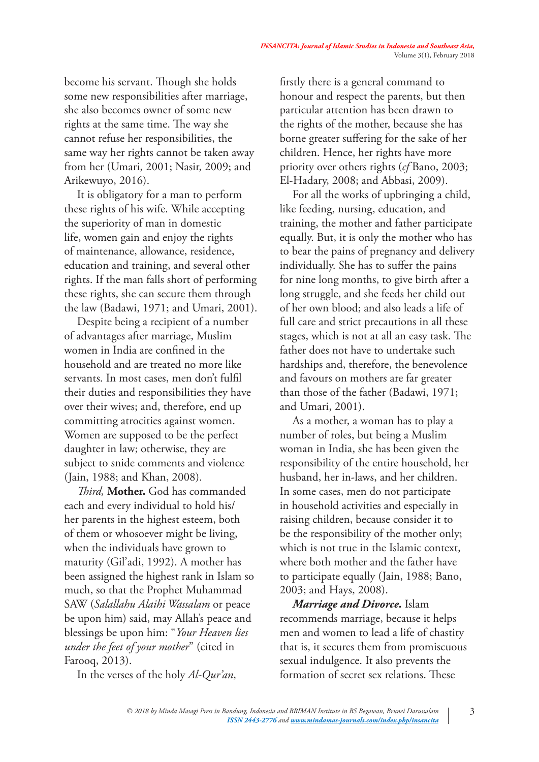become his servant. Though she holds some new responsibilities after marriage, she also becomes owner of some new rights at the same time. The way she cannot refuse her responsibilities, the same way her rights cannot be taken away from her (Umari, 2001; Nasir, 2009; and Arikewuyo, 2016).

It is obligatory for a man to perform these rights of his wife. While accepting the superiority of man in domestic life, women gain and enjoy the rights of maintenance, allowance, residence, education and training, and several other rights. If the man falls short of performing these rights, she can secure them through the law (Badawi, 1971; and Umari, 2001).

Despite being a recipient of a number of advantages after marriage, Muslim women in India are confined in the household and are treated no more like servants. In most cases, men don't fulfil their duties and responsibilities they have over their wives; and, therefore, end up committing atrocities against women. Women are supposed to be the perfect daughter in law; otherwise, they are subject to snide comments and violence (Jain, 1988; and Khan, 2008).

*Third,* **Mother.** God has commanded each and every individual to hold his/ her parents in the highest esteem, both of them or whosoever might be living, when the individuals have grown to maturity (Gil'adi, 1992). A mother has been assigned the highest rank in Islam so much, so that the Prophet Muhammad SAW (*Salallahu Alaihi Wassalam* or peace be upon him) said, may Allah's peace and blessings be upon him: "*Your Heaven lies under the feet of your mother*" (cited in Farooq, 2013).

In the verses of the holy *Al-Qur'an*,

firstly there is a general command to honour and respect the parents, but then particular attention has been drawn to the rights of the mother, because she has borne greater suffering for the sake of her children. Hence, her rights have more priority over others rights (*cf* Bano, 2003; El-Hadary, 2008; and Abbasi, 2009).

For all the works of upbringing a child, like feeding, nursing, education, and training, the mother and father participate equally. But, it is only the mother who has to bear the pains of pregnancy and delivery individually. She has to suffer the pains for nine long months, to give birth after a long struggle, and she feeds her child out of her own blood; and also leads a life of full care and strict precautions in all these stages, which is not at all an easy task. The father does not have to undertake such hardships and, therefore, the benevolence and favours on mothers are far greater than those of the father (Badawi, 1971; and Umari, 2001).

As a mother, a woman has to play a number of roles, but being a Muslim woman in India, she has been given the responsibility of the entire household, her husband, her in-laws, and her children. In some cases, men do not participate in household activities and especially in raising children, because consider it to be the responsibility of the mother only; which is not true in the Islamic context, where both mother and the father have to participate equally (Jain, 1988; Bano, 2003; and Hays, 2008).

*Marriage and Divorce.* Islam recommends marriage, because it helps men and women to lead a life of chastity that is, it secures them from promiscuous sexual indulgence. It also prevents the formation of secret sex relations. These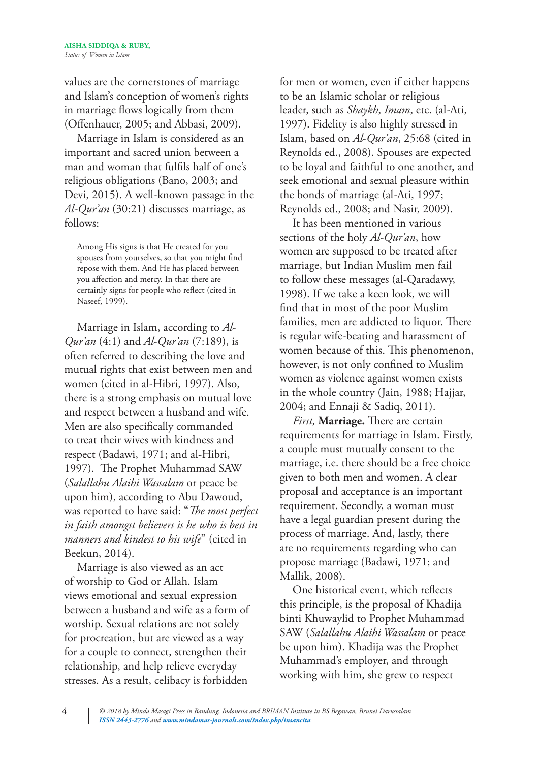values are the cornerstones of marriage and Islam's conception of women's rights in marriage flows logically from them (Offenhauer, 2005; and Abbasi, 2009).

Marriage in Islam is considered as an important and sacred union between a man and woman that fulfils half of one's religious obligations (Bano, 2003; and Devi, 2015). A well-known passage in the *Al-Qur'an* (30:21) discusses marriage, as follows:

Among His signs is that He created for you spouses from yourselves, so that you might find repose with them. And He has placed between you affection and mercy. In that there are certainly signs for people who reflect (cited in Naseef, 1999).

Marriage in Islam, according to *Al-Qur'an* (4:1) and *Al-Qur'an* (7:189), is often referred to describing the love and mutual rights that exist between men and women (cited in al-Hibri, 1997). Also, there is a strong emphasis on mutual love and respect between a husband and wife. Men are also specifically commanded to treat their wives with kindness and respect (Badawi, 1971; and al-Hibri, 1997). The Prophet Muhammad SAW (*Salallahu Alaihi Wassalam* or peace be upon him), according to Abu Dawoud, was reported to have said: "*The most perfect in faith amongst believers is he who is best in manners and kindest to his wife*" (cited in Beekun, 2014).

Marriage is also viewed as an act of worship to God or Allah. Islam views emotional and sexual expression between a husband and wife as a form of worship. Sexual relations are not solely for procreation, but are viewed as a way for a couple to connect, strengthen their relationship, and help relieve everyday stresses. As a result, celibacy is forbidden

for men or women, even if either happens to be an Islamic scholar or religious leader, such as *Shaykh*, *Imam*, etc. (al-Ati, 1997). Fidelity is also highly stressed in Islam, based on *Al-Qur'an*, 25:68 (cited in Reynolds ed., 2008). Spouses are expected to be loyal and faithful to one another, and seek emotional and sexual pleasure within the bonds of marriage (al-Ati, 1997; Reynolds ed., 2008; and Nasir, 2009).

It has been mentioned in various sections of the holy *Al-Qur'an*, how women are supposed to be treated after marriage, but Indian Muslim men fail to follow these messages (al-Qaradawy, 1998). If we take a keen look, we will find that in most of the poor Muslim families, men are addicted to liquor. There is regular wife-beating and harassment of women because of this. This phenomenon, however, is not only confined to Muslim women as violence against women exists in the whole country (Jain, 1988; Hajjar, 2004; and Ennaji & Sadiq, 2011).

*First,* **Marriage.** There are certain requirements for marriage in Islam. Firstly, a couple must mutually consent to the marriage, i.e. there should be a free choice given to both men and women. A clear proposal and acceptance is an important requirement. Secondly, a woman must have a legal guardian present during the process of marriage. And, lastly, there are no requirements regarding who can propose marriage (Badawi, 1971; and Mallik, 2008).

One historical event, which reflects this principle, is the proposal of Khadija binti Khuwaylid to Prophet Muhammad SAW (*Salallahu Alaihi Wassalam* or peace be upon him). Khadija was the Prophet Muhammad's employer, and through working with him, she grew to respect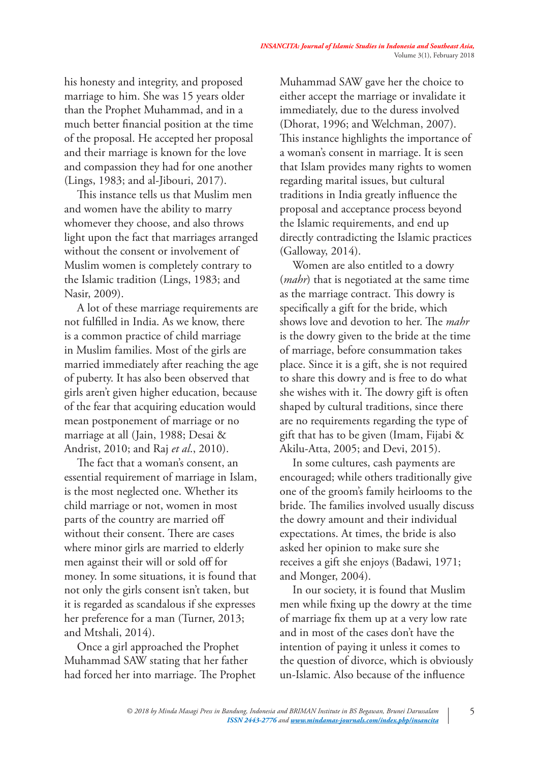his honesty and integrity, and proposed marriage to him. She was 15 years older than the Prophet Muhammad, and in a much better financial position at the time of the proposal. He accepted her proposal and their marriage is known for the love and compassion they had for one another (Lings, 1983; and al-Jibouri, 2017).

This instance tells us that Muslim men and women have the ability to marry whomever they choose, and also throws light upon the fact that marriages arranged without the consent or involvement of Muslim women is completely contrary to the Islamic tradition (Lings, 1983; and Nasir, 2009).

A lot of these marriage requirements are not fulfilled in India. As we know, there is a common practice of child marriage in Muslim families. Most of the girls are married immediately after reaching the age of puberty. It has also been observed that girls aren't given higher education, because of the fear that acquiring education would mean postponement of marriage or no marriage at all (Jain, 1988; Desai & Andrist, 2010; and Raj *et al*., 2010).

The fact that a woman's consent, an essential requirement of marriage in Islam, is the most neglected one. Whether its child marriage or not, women in most parts of the country are married off without their consent. There are cases where minor girls are married to elderly men against their will or sold off for money. In some situations, it is found that not only the girls consent isn't taken, but it is regarded as scandalous if she expresses her preference for a man (Turner, 2013; and Mtshali, 2014).

Once a girl approached the Prophet Muhammad SAW stating that her father had forced her into marriage. The Prophet

Muhammad SAW gave her the choice to either accept the marriage or invalidate it immediately, due to the duress involved (Dhorat, 1996; and Welchman, 2007). This instance highlights the importance of a woman's consent in marriage. It is seen that Islam provides many rights to women regarding marital issues, but cultural traditions in India greatly influence the proposal and acceptance process beyond the Islamic requirements, and end up directly contradicting the Islamic practices (Galloway, 2014).

Women are also entitled to a dowry (*mahr*) that is negotiated at the same time as the marriage contract. This dowry is specifically a gift for the bride, which shows love and devotion to her. The *mahr* is the dowry given to the bride at the time of marriage, before consummation takes place. Since it is a gift, she is not required to share this dowry and is free to do what she wishes with it. The dowry gift is often shaped by cultural traditions, since there are no requirements regarding the type of gift that has to be given (Imam, Fijabi & Akilu-Atta, 2005; and Devi, 2015).

In some cultures, cash payments are encouraged; while others traditionally give one of the groom's family heirlooms to the bride. The families involved usually discuss the dowry amount and their individual expectations. At times, the bride is also asked her opinion to make sure she receives a gift she enjoys (Badawi, 1971; and Monger, 2004).

In our society, it is found that Muslim men while fixing up the dowry at the time of marriage fix them up at a very low rate and in most of the cases don't have the intention of paying it unless it comes to the question of divorce, which is obviously un-Islamic. Also because of the influence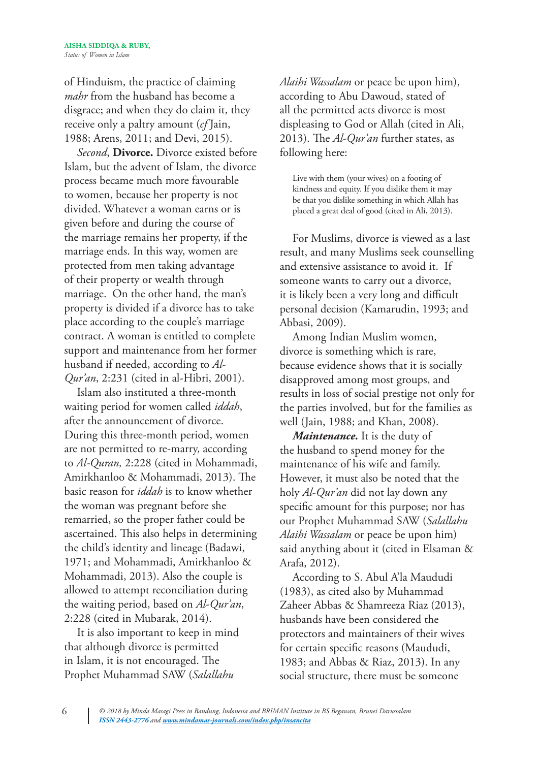of Hinduism, the practice of claiming *mahr* from the husband has become a disgrace; and when they do claim it, they receive only a paltry amount (*cf* Jain, 1988; Arens, 2011; and Devi, 2015).

*Second*, **Divorce.** Divorce existed before Islam, but the advent of Islam, the divorce process became much more favourable to women, because her property is not divided. Whatever a woman earns or is given before and during the course of the marriage remains her property, if the marriage ends. In this way, women are protected from men taking advantage of their property or wealth through marriage. On the other hand, the man's property is divided if a divorce has to take place according to the couple's marriage contract. A woman is entitled to complete support and maintenance from her former husband if needed, according to *Al-Qur'an*, 2:231 (cited in al-Hibri, 2001).

Islam also instituted a three-month waiting period for women called *iddah*, after the announcement of divorce. During this three-month period, women are not permitted to re-marry, according to *Al-Quran,* 2:228 (cited in Mohammadi, Amirkhanloo & Mohammadi, 2013). The basic reason for *iddah* is to know whether the woman was pregnant before she remarried, so the proper father could be ascertained. This also helps in determining the child's identity and lineage (Badawi, 1971; and Mohammadi, Amirkhanloo & Mohammadi, 2013). Also the couple is allowed to attempt reconciliation during the waiting period, based on *Al-Qur'an*, 2:228 (cited in Mubarak, 2014).

It is also important to keep in mind that although divorce is permitted in Islam, it is not encouraged. The Prophet Muhammad SAW (*Salallahu* 

*Alaihi Wassalam* or peace be upon him), according to Abu Dawoud, stated of all the permitted acts divorce is most displeasing to God or Allah (cited in Ali, 2013). The *Al-Qur'an* further states, as following here:

Live with them (your wives) on a footing of kindness and equity. If you dislike them it may be that you dislike something in which Allah has placed a great deal of good (cited in Ali, 2013).

For Muslims, divorce is viewed as a last result, and many Muslims seek counselling and extensive assistance to avoid it. If someone wants to carry out a divorce, it is likely been a very long and difficult personal decision (Kamarudin, 1993; and Abbasi, 2009).

Among Indian Muslim women, divorce is something which is rare, because evidence shows that it is socially disapproved among most groups, and results in loss of social prestige not only for the parties involved, but for the families as well (Jain, 1988; and Khan, 2008).

*Maintenance*. It is the duty of the husband to spend money for the maintenance of his wife and family. However, it must also be noted that the holy *Al-Qur'an* did not lay down any specific amount for this purpose; nor has our Prophet Muhammad SAW (*Salallahu Alaihi Wassalam* or peace be upon him) said anything about it (cited in Elsaman & Arafa, 2012).

According to S. Abul A'la Maududi (1983), as cited also by Muhammad Zaheer Abbas & Shamreeza Riaz (2013), husbands have been considered the protectors and maintainers of their wives for certain specific reasons (Maududi, 1983; and Abbas & Riaz, 2013). In any social structure, there must be someone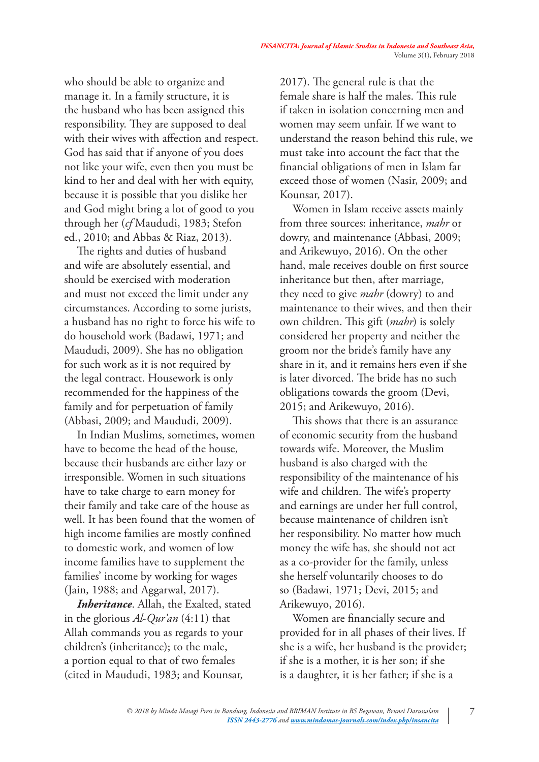who should be able to organize and manage it. In a family structure, it is the husband who has been assigned this responsibility. They are supposed to deal with their wives with affection and respect. God has said that if anyone of you does not like your wife, even then you must be kind to her and deal with her with equity, because it is possible that you dislike her and God might bring a lot of good to you through her (*cf* Maududi, 1983; Stefon ed., 2010; and Abbas & Riaz, 2013).

The rights and duties of husband and wife are absolutely essential, and should be exercised with moderation and must not exceed the limit under any circumstances. According to some jurists, a husband has no right to force his wife to do household work (Badawi, 1971; and Maududi, 2009). She has no obligation for such work as it is not required by the legal contract. Housework is only recommended for the happiness of the family and for perpetuation of family (Abbasi, 2009; and Maududi, 2009).

In Indian Muslims, sometimes, women have to become the head of the house, because their husbands are either lazy or irresponsible. Women in such situations have to take charge to earn money for their family and take care of the house as well. It has been found that the women of high income families are mostly confined to domestic work, and women of low income families have to supplement the families' income by working for wages (Jain, 1988; and Aggarwal, 2017).

*Inheritance*. Allah, the Exalted, stated in the glorious *Al-Qur'an* (4:11) that Allah commands you as regards to your children's (inheritance); to the male, a portion equal to that of two females (cited in Maududi, 1983; and Kounsar,

2017). The general rule is that the female share is half the males. This rule if taken in isolation concerning men and women may seem unfair. If we want to understand the reason behind this rule, we must take into account the fact that the financial obligations of men in Islam far exceed those of women (Nasir, 2009; and Kounsar, 2017).

Women in Islam receive assets mainly from three sources: inheritance, *mahr* or dowry, and maintenance (Abbasi, 2009; and Arikewuyo, 2016). On the other hand, male receives double on first source inheritance but then, after marriage, they need to give *mahr* (dowry) to and maintenance to their wives, and then their own children. This gift (*mahr*) is solely considered her property and neither the groom nor the bride's family have any share in it, and it remains hers even if she is later divorced. The bride has no such obligations towards the groom (Devi, 2015; and Arikewuyo, 2016).

This shows that there is an assurance of economic security from the husband towards wife. Moreover, the Muslim husband is also charged with the responsibility of the maintenance of his wife and children. The wife's property and earnings are under her full control, because maintenance of children isn't her responsibility. No matter how much money the wife has, she should not act as a co-provider for the family, unless she herself voluntarily chooses to do so (Badawi, 1971; Devi, 2015; and Arikewuyo, 2016).

Women are financially secure and provided for in all phases of their lives. If she is a wife, her husband is the provider; if she is a mother, it is her son; if she is a daughter, it is her father; if she is a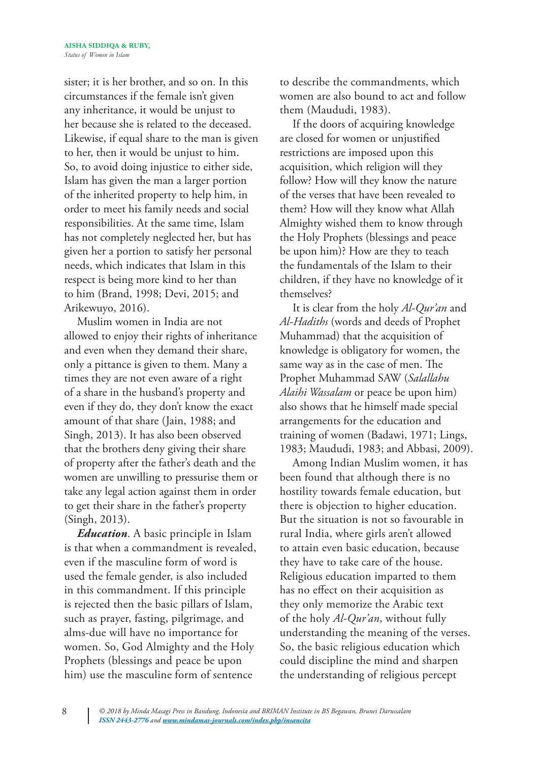sister; it is her brother, and so on. In this circumstances if the female isn't given any inheritance, it would be unjust to her because she is related to the deceased. Likewise, if equal share to the man is given to her, then it would be unjust to him. So, to avoid doing injustice to either side, Islam has given the man a larger portion of the inherited property to help him, in order to meet his family needs and social responsibilities. At the same time, Islam has not completely neglected her, but has given her a portion to satisfy her personal needs, which indicates that Islam in this respect is being more kind to her than to him (Brand, 1998; Devi, 2015; and Arikewuyo, 2016).

Muslim women in India are not allowed to enjoy their rights of inheritance and even when they demand their share, only a pittance is given to them. Many a times they are not even aware of a right of a share in the husband's property and even if they do, they don't know the exact amount of that share (Jain, 1988; and Singh, 2013). It has also been observed that the brothers deny giving their share of property after the father's death and the women are unwilling to pressurise them or take any legal action against them in order to get their share in the father's property (Singh, 2013).

*Education*. A basic principle in Islam is that when a commandment is revealed, even if the masculine form of word is used the female gender, is also included in this commandment. If this principle is rejected then the basic pillars of Islam, such as prayer, fasting, pilgrimage, and alms-due will have no importance for women. So, God Almighty and the Holy Prophets (blessings and peace be upon him) use the masculine form of sentence

to describe the commandments, which women are also bound to act and follow them (Maududi, 1983).

If the doors of acquiring knowledge are closed for women or unjustified restrictions are imposed upon this acquisition, which religion will they follow? How will they know the nature of the verses that have been revealed to them? How will they know what Allah Almighty wished them to know through the Holy Prophets (blessings and peace be upon him)? How are they to teach the fundamentals of the Islam to their children, if they have no knowledge of it themselves?

It is clear from the holy *Al-Qur'an* and *Al-Hadiths* (words and deeds of Prophet Muhammad) that the acquisition of knowledge is obligatory for women, the same way as in the case of men. The Prophet Muhammad SAW (*Salallahu Alaihi Wassalam* or peace be upon him) also shows that he himself made special arrangements for the education and training of women (Badawi, 1971; Lings, 1983; Maududi, 1983; and Abbasi, 2009).

Among Indian Muslim women, it has been found that although there is no hostility towards female education, but there is objection to higher education. But the situation is not so favourable in rural India, where girls aren't allowed to attain even basic education, because they have to take care of the house. Religious education imparted to them has no effect on their acquisition as they only memorize the Arabic text of the holy *Al-Qur'an*, without fully understanding the meaning of the verses. So, the basic religious education which could discipline the mind and sharpen the understanding of religious percept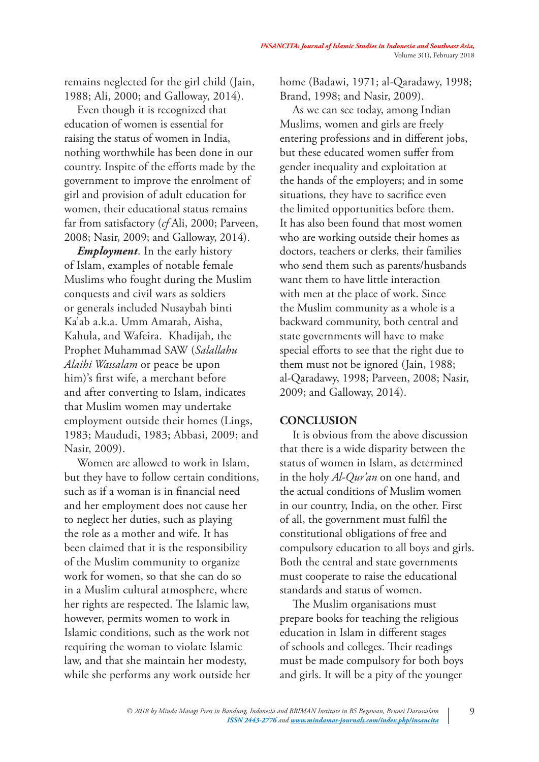remains neglected for the girl child (Jain, 1988; Ali, 2000; and Galloway, 2014).

Even though it is recognized that education of women is essential for raising the status of women in India, nothing worthwhile has been done in our country. Inspite of the efforts made by the government to improve the enrolment of girl and provision of adult education for women, their educational status remains far from satisfactory (*cf* Ali, 2000; Parveen, 2008; Nasir, 2009; and Galloway, 2014).

*Employment*. In the early history of Islam, examples of notable female Muslims who fought during the Muslim conquests and civil wars as soldiers or generals included Nusaybah binti Ka'ab a.k.a. Umm Amarah, Aisha, Kahula, and Wafeira. Khadijah, the Prophet Muhammad SAW (*Salallahu Alaihi Wassalam* or peace be upon him)'s first wife, a merchant before and after converting to Islam, indicates that Muslim women may undertake employment outside their homes (Lings, 1983; Maududi, 1983; Abbasi, 2009; and Nasir, 2009).

Women are allowed to work in Islam, but they have to follow certain conditions, such as if a woman is in financial need and her employment does not cause her to neglect her duties, such as playing the role as a mother and wife. It has been claimed that it is the responsibility of the Muslim community to organize work for women, so that she can do so in a Muslim cultural atmosphere, where her rights are respected. The Islamic law, however, permits women to work in Islamic conditions, such as the work not requiring the woman to violate Islamic law, and that she maintain her modesty, while she performs any work outside her

home (Badawi, 1971; al-Qaradawy, 1998; Brand, 1998; and Nasir, 2009).

As we can see today, among Indian Muslims, women and girls are freely entering professions and in different jobs, but these educated women suffer from gender inequality and exploitation at the hands of the employers; and in some situations, they have to sacrifice even the limited opportunities before them. It has also been found that most women who are working outside their homes as doctors, teachers or clerks, their families who send them such as parents/husbands want them to have little interaction with men at the place of work. Since the Muslim community as a whole is a backward community, both central and state governments will have to make special efforts to see that the right due to them must not be ignored (Jain, 1988; al-Qaradawy, 1998; Parveen, 2008; Nasir, 2009; and Galloway, 2014).

#### **CONCLUSION**

It is obvious from the above discussion that there is a wide disparity between the status of women in Islam, as determined in the holy *Al-Qur'an* on one hand, and the actual conditions of Muslim women in our country, India, on the other. First of all, the government must fulfil the constitutional obligations of free and compulsory education to all boys and girls. Both the central and state governments must cooperate to raise the educational standards and status of women.

The Muslim organisations must prepare books for teaching the religious education in Islam in different stages of schools and colleges. Their readings must be made compulsory for both boys and girls. It will be a pity of the younger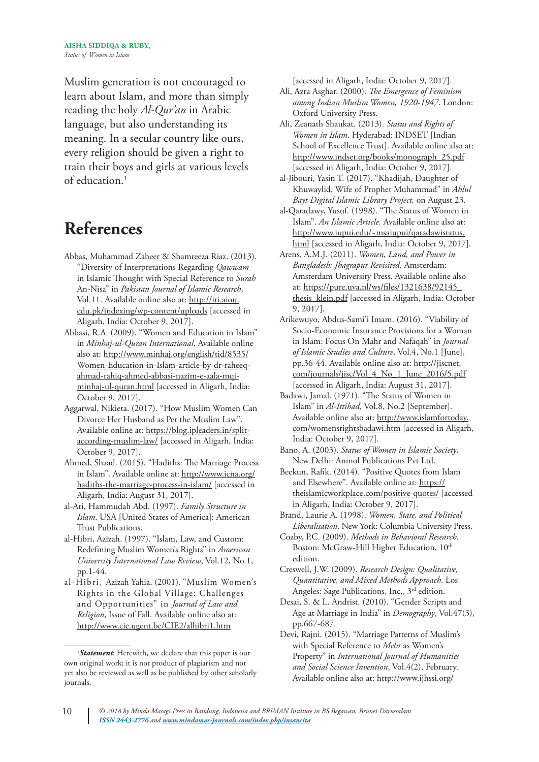Muslim generation is not encouraged to learn about Islam, and more than simply reading the holy *Al-Qur'an* in Arabic language, but also understanding its meaning. In a secular country like ours, every religion should be given a right to train their boys and girls at various levels of education.<sup>1</sup>

# **References**

- Abbas, Muhammad Zaheer & Shamreeza Riaz. (2013). "Diversity of Interpretations Regarding *Qawwam* in Islamic Thought with Special Reference to *Surah* An-Nisa" in *Pakistan Journal of Islamic Research*, Vol.11. Available online also at: http://iri.aiou. edu.pk/indexing/wp-content/uploads [accessed in Aligarh, India: October 9, 2017].
- Abbasi, R.A. (2009). "Women and Education in Islam" in *Minhaj-ul-Quran International*. Available online also at: http://www.minhaj.org/english/tid/8535/ Women-Education-in-Islam-article-by-dr-raheeqahmad-rahiq-ahmed-abbasi-nazim-e-aala-mqiminhaj-ul-quran.html [accessed in Aligarh, India: October 9, 2017].
- Aggarwal, Nikieta. (2017). "How Muslim Women Can Divorce Her Husband as Per the Muslim Law". Available online at: https://blog.ipleaders.in/splitaccording-muslim-law/ [accessed in Aligarh, India: October 9, 2017].
- Ahmed, Shaad. (2015). "Hadiths: The Marriage Process in Islam". Available online at: http://www.icna.org/ hadiths-the-marriage-process-in-islam/ [accessed in Aligarh, India: August 31, 2017].
- al-Ati, Hammudah Abd. (1997). *Family Structure in Islam*. USA [United States of America]: American Trust Publications.
- al-Hibri, Azizah. (1997). "Islam, Law, and Custom: Redefining Muslim Women's Rights" in *American University International Law Review*, Vol.12, No.1, pp.1-44.
- al-Hibri, Azizah Yahia. (2001). "Muslim Women's Rights in the Global Village: Challenges and Opportunities" in *Journal of Law and Religion*, Issue of Fall. Available online also at: http://www.cie.ugent.be/CIE2/alhibri1.htm

[accessed in Aligarh, India: October 9, 2017].

- Ali, Azra Asghar. (2000). *The Emergence of Feminism among Indian Muslim Women, 1920-1947*. London: Oxford University Press.
- Ali, Zeanath Shaukat. (2013). *Status and Rights of Women in Islam*. Hyderabad: INDSET [Indian School of Excellence Trust]. Available online also at: http://www.indset.org/books/monograph\_25.pdf [accessed in Aligarh, India: October 9, 2017].
- al-Jibouri, Yasin T. (2017). "Khadijah, Daughter of Khuwaylid, Wife of Prophet Muhammad" in *Ahlul Bayt Digital Islamic Library Project,* on August 23.
- al-Qaradawy, Yusuf. (1998). "The Status of Women in Islam". *An Islamic Article.* Available online also at: http://www.iupui.edu/~msaiupui/qaradawistatus. html [accessed in Aligarh, India: October 9, 2017].
- Arens, A.M.J. (2011). *Women, Land, and Power in Bangladesh: Jhagrapur Revisited*. Amsterdam: Amsterdam University Press. Available online also at: https://pure.uva.nl/ws/files/1321638/92145\_ thesis\_klein.pdf [accessed in Aligarh, India: October 9, 2017].
- Arikewuyo, Abdus-Sami'i Imam. (2016). "Viability of Socio-Economic Insurance Provisions for a Woman in Islam: Focus On Mahr and Nafaqah" in *Journal of Islamic Studies and Culture*, Vol.4, No.1 [June], pp.36-44. Available online also at: http://jiscnet. com/journals/jisc/Vol 4 No 1 June 2016/5.pdf [accessed in Aligarh, India: August 31, 2017].
- Badawi, Jamal. (1971). "The Status of Women in Islam" in *Al-Ittihad*, Vol.8, No.2 [September]. Available online also at: http://www.islamfortoday. com/womensrightsbadawi.htm [accessed in Aligarh, India: October 9, 2017].
- Bano, A. (2003). *Status of Women in Islamic Society*. New Delhi: Anmol Publications Pvt Ltd.
- Beekun, Rafik. (2014). "Positive Quotes from Islam and Elsewhere". Available online at: https:// theislamicworkplace.com/positive-quotes/ [accessed in Aligarh, India: October 9, 2017].
- Brand, Laurie A. (1998). *Women, State, and Political Liberalisation*. New York: Columbia University Press.
- Cozby, P.C. (2009). *Methods in Behavioral Research*. Boston: McGraw-Hill Higher Education, 10<sup>th</sup> edition.
- Creswell, J.W. (2009). *Research Design: Qualitative, Quantitative, and Mixed Methods Approach*. Los Angeles: Sage Publications, Inc., 3rd edition.
- Desai, S. & L. Andrist. (2010). "Gender Scripts and Age at Marriage in India" in *Demography*, Vol.47(3), pp.667-687.
- Devi, Rajni. (2015). "Marriage Patterns of Muslim's with Special Reference to *Mehr* as Women's Property" in *International Journal of Humanities and Social Science Invention*, Vol.4(2), February. Available online also at: http://www.ijhssi.org/

<sup>1</sup> *Statement*: Herewith, we declare that this paper is our own original work; it is not product of plagiarism and not yet also be reviewed as well as be published by other scholarly journals.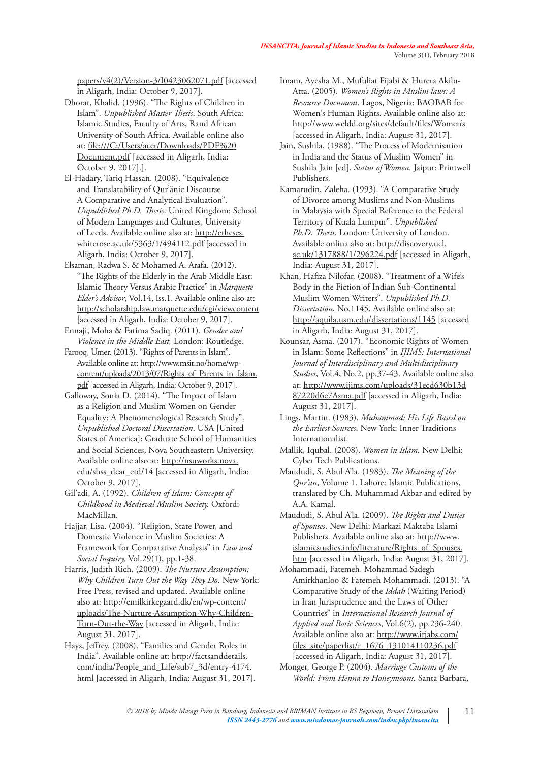papers/v4(2)/Version-3/I0423062071.pdf [accessed in Aligarh, India: October 9, 2017].

Dhorat, Khalid. (1996). "The Rights of Children in Islam". *Unpublished Master Thesis*. South Africa: Islamic Studies, Faculty of Arts, Rand African University of South Africa. Available online also at: file:///C:/Users/acer/Downloads/PDF%20 Document.pdf [accessed in Aligarh, India: October 9, 2017].].

El-Hadary, Tariq Hassan. (2008). "Equivalence and Translatability of Qur'änic Discourse A Comparative and Analytical Evaluation". *Unpublished Ph.D. Thesis*. United Kingdom: School of Modern Languages and Cultures, University of Leeds. Available online also at: http://etheses. whiterose.ac.uk/5363/1/494112.pdf [accessed in Aligarh, India: October 9, 2017].

Elsaman, Radwa S. & Mohamed A. Arafa. (2012). "The Rights of the Elderly in the Arab Middle East: Islamic Theory Versus Arabic Practice" in *Marquette Elder's Advisor*, Vol.14, Iss.1. Available online also at: http://scholarship.law.marquette.edu/cgi/viewcontent [accessed in Aligarh, India: October 9, 2017].

Ennaji, Moha & Fatima Sadiq. (2011). *Gender and Violence in the Middle East.* London: Routledge.

Farooq, Umer. (2013). "Rights of Parents in Islam". Available online at: http://www.msit.no/home/wpcontent/uploads/2013/07/Rights of Parents in Islam. pdf [accessed in Aligarh, India: October 9, 2017].

Galloway, Sonia D. (2014). "The Impact of Islam as a Religion and Muslim Women on Gender Equality: A Phenomenological Research Study". *Unpublished Doctoral Dissertation*. USA [United States of America]: Graduate School of Humanities and Social Sciences, Nova Southeastern University. Available online also at: http://nsuworks.nova. edu/shss\_dcar\_etd/14 [accessed in Aligarh, India: October 9, 2017].

Gil'adi, A. (1992). *Children of Islam: Concepts of Childhood in Medieval Muslim Society.* Oxford: MacMillan.

Hajjar, Lisa. (2004). "Religion, State Power, and Domestic Violence in Muslim Societies: A Framework for Comparative Analysis" in *Law and Social Inquiry,* Vol.29(1), pp.1-38.

Harris, Judith Rich. (2009). *The Nurture Assumption: Why Children Turn Out the Way They Do*. New York: Free Press, revised and updated. Available online also at: http://emilkirkegaard.dk/en/wp-content/ uploads/The-Nurture-Assumption-Why-Children-Turn-Out-the-Way [accessed in Aligarh, India: August 31, 2017].

Hays, Jeffrey. (2008). "Families and Gender Roles in India". Available online at: http://factsanddetails. com/india/People\_and\_Life/sub7\_3d/entry-4174. html [accessed in Aligarh, India: August 31, 2017].

- Imam, Ayesha M., Mufuliat Fijabi & Hurera Akilu-Atta. (2005). *Women's Rights in Muslim laws: A Resource Document*. Lagos, Nigeria: BAOBAB for Women's Human Rights. Available online also at: http://www.weldd.org/sites/default/files/Women's [accessed in Aligarh, India: August 31, 2017].
- Jain, Sushila. (1988). "The Process of Modernisation in India and the Status of Muslim Women" in Sushila Jain [ed]. *Status of Women.* Jaipur: Printwell Publishers.
- Kamarudin, Zaleha. (1993). "A Comparative Study of Divorce among Muslims and Non-Muslims in Malaysia with Special Reference to the Federal Territory of Kuala Lumpur". *Unpublished Ph.D. Thesis*. London: University of London. Available onlina also at: http://discovery.ucl. ac.uk/1317888/1/296224.pdf [accessed in Aligarh, India: August 31, 2017].
- Khan, Hafiza Nilofar. (2008). "Treatment of a Wife's Body in the Fiction of Indian Sub-Continental Muslim Women Writers". *Unpublished Ph.D. Dissertation*, No.1145. Available online also at: http://aquila.usm.edu/dissertations/1145 [accessed in Aligarh, India: August 31, 2017].
- Kounsar, Asma. (2017). "Economic Rights of Women in Islam: Some Reflections" in *IJIMS: International Journal of Interdisciplinary and Multidisciplinary Studies*, Vol.4, No.2, pp.37-43. Available online also at: http://www.ijims.com/uploads/31ecd630b13d 87220d6e7Asma.pdf [accessed in Aligarh, India: August 31, 2017].
- Lings, Martin. (1983). *Muhammad: His Life Based on the Earliest Sources*. New York: Inner Traditions Internationalist.
- Mallik, Iqubal. (2008). *Women in Islam*. New Delhi: Cyber Tech Publications.
- Maududi, S. Abul A'la. (1983). *The Meaning of the Qur'an*, Volume 1. Lahore: Islamic Publications, translated by Ch. Muhammad Akbar and edited by A.A. Kamal.
- Maududi, S. Abul A'la. (2009). *The Rights and Duties of Spouses*. New Delhi: Markazi Maktaba Islami Publishers. Available online also at: http://www. islamicstudies.info/literature/Rights\_of\_Spouses. htm [accessed in Aligarh, India: August 31, 2017].
- Mohammadi, Fatemeh, Mohammad Sadegh Amirkhanloo & Fatemeh Mohammadi. (2013). "A Comparative Study of the *Iddah* (Waiting Period) in Iran Jurisprudence and the Laws of Other Countries" in *International Research Journal of Applied and Basic Sciences*, Vol.6(2), pp.236-240. Available online also at: http://www.irjabs.com/ files\_site/paperlist/r\_1676\_131014110236.pdf [accessed in Aligarh, India: August 31, 2017].
- Monger, George P. (2004). *Marriage Customs of the World: From Henna to Honeymoons*. Santa Barbara,